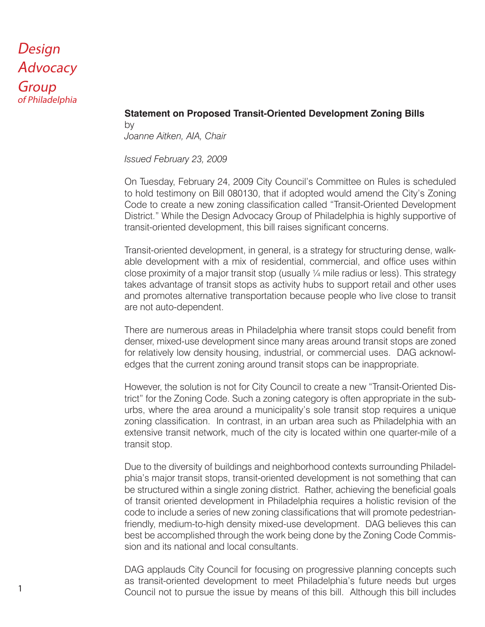# Design **Advocacy Group** of Philadelphia

#### **Statement on Proposed Transit-Oriented Development Zoning Bills**

by *Joanne Aitken, AIA, Chair* 

*Issued February 23, 2009*

On Tuesday, February 24, 2009 City Council's Committee on Rules is scheduled to hold testimony on Bill 080130, that if adopted would amend the City's Zoning Code to create a new zoning classification called "Transit-Oriented Development District." While the Design Advocacy Group of Philadelphia is highly supportive of transit-oriented development, this bill raises significant concerns.

Transit-oriented development, in general, is a strategy for structuring dense, walkable development with a mix of residential, commercial, and office uses within close proximity of a major transit stop (usually ¼ mile radius or less). This strategy takes advantage of transit stops as activity hubs to support retail and other uses and promotes alternative transportation because people who live close to transit are not auto-dependent.

There are numerous areas in Philadelphia where transit stops could benefit from denser, mixed-use development since many areas around transit stops are zoned for relatively low density housing, industrial, or commercial uses. DAG acknowledges that the current zoning around transit stops can be inappropriate.

However, the solution is not for City Council to create a new "Transit-Oriented District" for the Zoning Code. Such a zoning category is often appropriate in the suburbs, where the area around a municipality's sole transit stop requires a unique zoning classification. In contrast, in an urban area such as Philadelphia with an extensive transit network, much of the city is located within one quarter-mile of a transit stop.

Due to the diversity of buildings and neighborhood contexts surrounding Philadelphia's major transit stops, transit-oriented development is not something that can be structured within a single zoning district. Rather, achieving the beneficial goals of transit oriented development in Philadelphia requires a holistic revision of the code to include a series of new zoning classifications that will promote pedestrianfriendly, medium-to-high density mixed-use development. DAG believes this can best be accomplished through the work being done by the Zoning Code Commission and its national and local consultants.

DAG applauds City Council for focusing on progressive planning concepts such as transit-oriented development to meet Philadelphia's future needs but urges Council not to pursue the issue by means of this bill. Although this bill includes